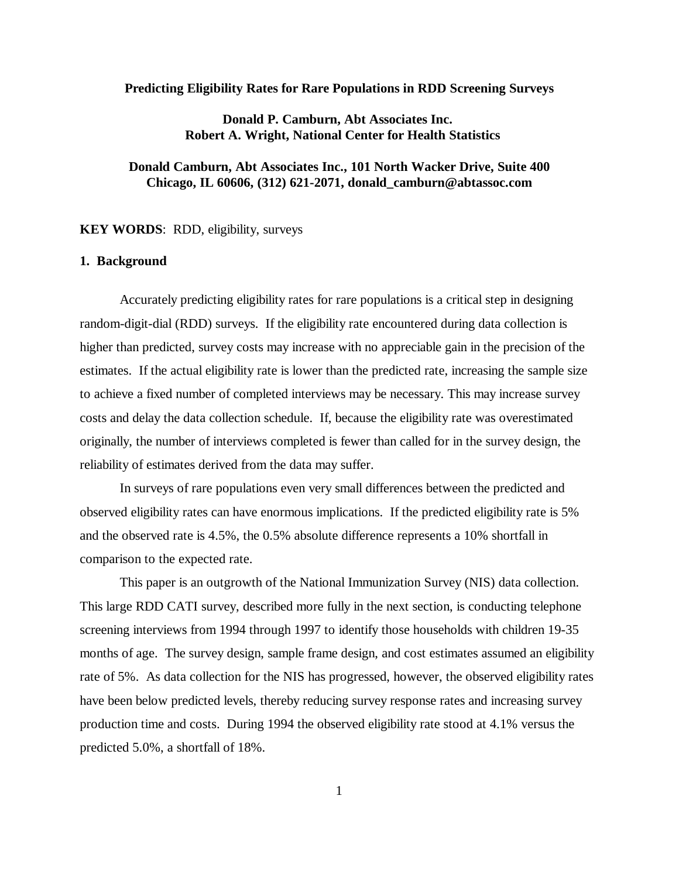#### **Predicting Eligibility Rates for Rare Populations in RDD Screening Surveys**

# **Donald P. Camburn, Abt Associates Inc. Robert A. Wright, National Center for Health Statistics**

# **Donald Camburn, Abt Associates Inc., 101 North Wacker Drive, Suite 400 Chicago, IL 60606, (312) 621-2071, donald\_camburn@abtassoc.com**

**KEY WORDS**: RDD, eligibility, surveys

#### **1. Background**

Accurately predicting eligibility rates for rare populations is a critical step in designing random-digit-dial (RDD) surveys. If the eligibility rate encountered during data collection is higher than predicted, survey costs may increase with no appreciable gain in the precision of the estimates. If the actual eligibility rate is lower than the predicted rate, increasing the sample size to achieve a fixed number of completed interviews may be necessary. This may increase survey costs and delay the data collection schedule. If, because the eligibility rate was overestimated originally, the number of interviews completed is fewer than called for in the survey design, the reliability of estimates derived from the data may suffer.

In surveys of rare populations even very small differences between the predicted and observed eligibility rates can have enormous implications. If the predicted eligibility rate is 5% and the observed rate is 4.5%, the 0.5% absolute difference represents a 10% shortfall in comparison to the expected rate.

This paper is an outgrowth of the National Immunization Survey (NIS) data collection. This large RDD CATI survey, described more fully in the next section, is conducting telephone screening interviews from 1994 through 1997 to identify those households with children 19-35 months of age. The survey design, sample frame design, and cost estimates assumed an eligibility rate of 5%. As data collection for the NIS has progressed, however, the observed eligibility rates have been below predicted levels, thereby reducing survey response rates and increasing survey production time and costs. During 1994 the observed eligibility rate stood at 4.1% versus the predicted 5.0%, a shortfall of 18%.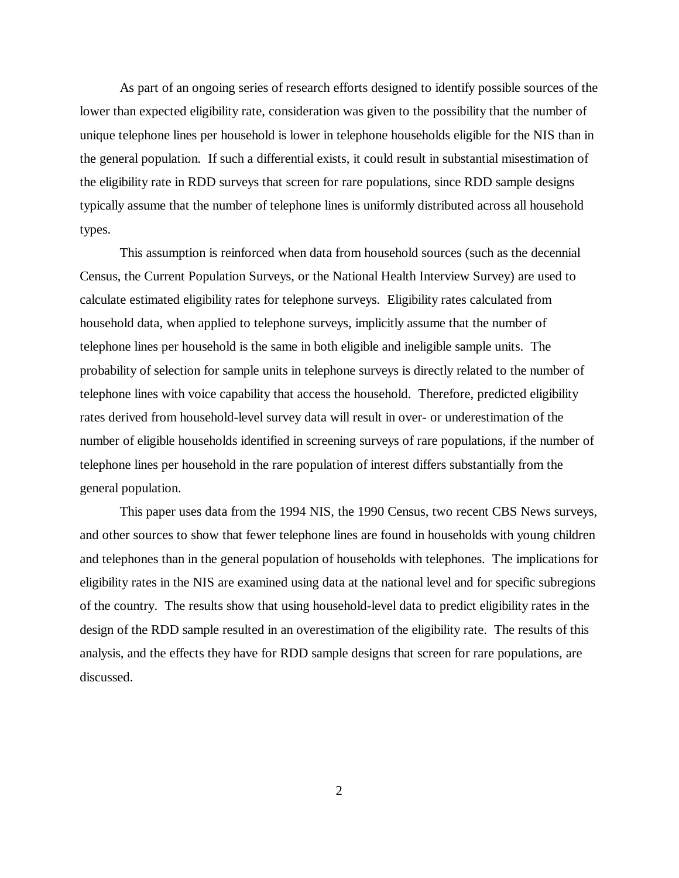As part of an ongoing series of research efforts designed to identify possible sources of the lower than expected eligibility rate, consideration was given to the possibility that the number of unique telephone lines per household is lower in telephone households eligible for the NIS than in the general population. If such a differential exists, it could result in substantial misestimation of the eligibility rate in RDD surveys that screen for rare populations, since RDD sample designs typically assume that the number of telephone lines is uniformly distributed across all household types.

This assumption is reinforced when data from household sources (such as the decennial Census, the Current Population Surveys, or the National Health Interview Survey) are used to calculate estimated eligibility rates for telephone surveys. Eligibility rates calculated from household data, when applied to telephone surveys, implicitly assume that the number of telephone lines per household is the same in both eligible and ineligible sample units. The probability of selection for sample units in telephone surveys is directly related to the number of telephone lines with voice capability that access the household. Therefore, predicted eligibility rates derived from household-level survey data will result in over- or underestimation of the number of eligible households identified in screening surveys of rare populations, if the number of telephone lines per household in the rare population of interest differs substantially from the general population.

This paper uses data from the 1994 NIS, the 1990 Census, two recent CBS News surveys, and other sources to show that fewer telephone lines are found in households with young children and telephones than in the general population of households with telephones. The implications for eligibility rates in the NIS are examined using data at the national level and for specific subregions of the country. The results show that using household-level data to predict eligibility rates in the design of the RDD sample resulted in an overestimation of the eligibility rate. The results of this analysis, and the effects they have for RDD sample designs that screen for rare populations, are discussed.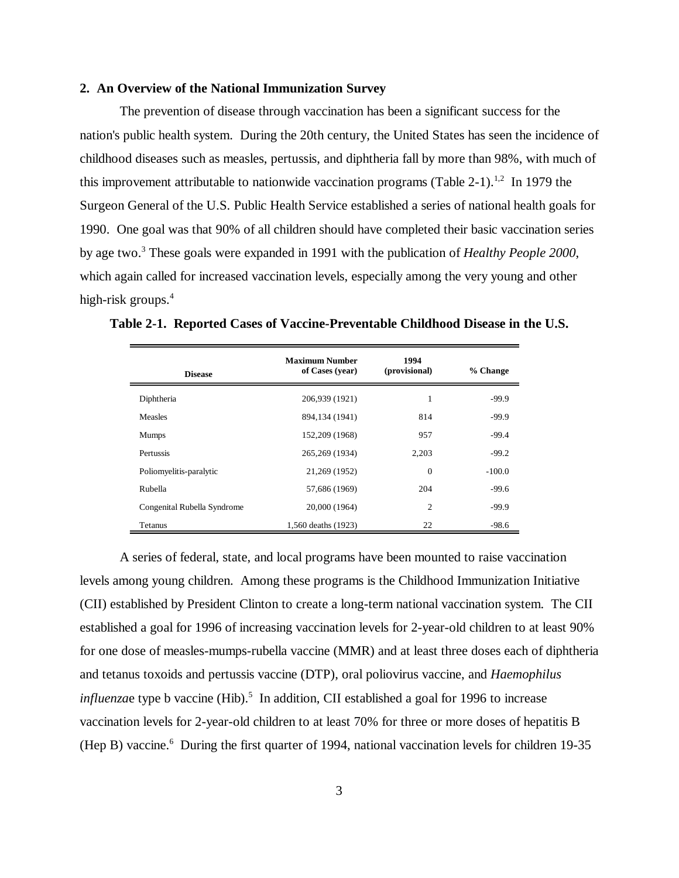## **2. An Overview of the National Immunization Survey**

The prevention of disease through vaccination has been a significant success for the nation's public health system. During the 20th century, the United States has seen the incidence of childhood diseases such as measles, pertussis, and diphtheria fall by more than 98%, with much of this improvement attributable to nationwide vaccination programs (Table 2-1).<sup>1,2</sup> In 1979 the Surgeon General of the U.S. Public Health Service established a series of national health goals for 1990. One goal was that 90% of all children should have completed their basic vaccination series by age two.3 These goals were expanded in 1991 with the publication of *Healthy People 2000*, which again called for increased vaccination levels, especially among the very young and other high-risk groups.<sup>4</sup>

| <b>Disease</b>              | <b>Maximum Number</b><br>of Cases (year) | 1994<br>(provisional) | % Change |  |
|-----------------------------|------------------------------------------|-----------------------|----------|--|
| Diphtheria                  | 206,939 (1921)                           | 1                     | $-99.9$  |  |
| <b>Measles</b>              | 894,134 (1941)                           | 814                   | $-99.9$  |  |
| <b>Mumps</b>                | 152,209 (1968)                           | 957                   | $-99.4$  |  |
| Pertussis                   | 265, 269 (1934)                          | 2,203                 | $-99.2$  |  |
| Poliomyelitis-paralytic     | 21,269 (1952)                            | $\overline{0}$        | $-100.0$ |  |
| Rubella                     | 57,686 (1969)                            | 204                   | $-99.6$  |  |
| Congenital Rubella Syndrome | 20,000 (1964)                            | $\overline{c}$        | $-99.9$  |  |
| Tetanus                     | 1,560 deaths (1923)                      | 22                    | -98.6    |  |

**Table 2-1. Reported Cases of Vaccine-Preventable Childhood Disease in the U.S.** 

A series of federal, state, and local programs have been mounted to raise vaccination levels among young children. Among these programs is the Childhood Immunization Initiative (CII) established by President Clinton to create a long-term national vaccination system. The CII established a goal for 1996 of increasing vaccination levels for 2-year-old children to at least 90% for one dose of measles-mumps-rubella vaccine (MMR) and at least three doses each of diphtheria and tetanus toxoids and pertussis vaccine (DTP), oral poliovirus vaccine, and *Haemophilus influenza*e type b vaccine (Hib).<sup>5</sup> In addition, CII established a goal for 1996 to increase vaccination levels for 2-year-old children to at least 70% for three or more doses of hepatitis B (Hep B) vaccine.<sup>6</sup> During the first quarter of 1994, national vaccination levels for children 19-35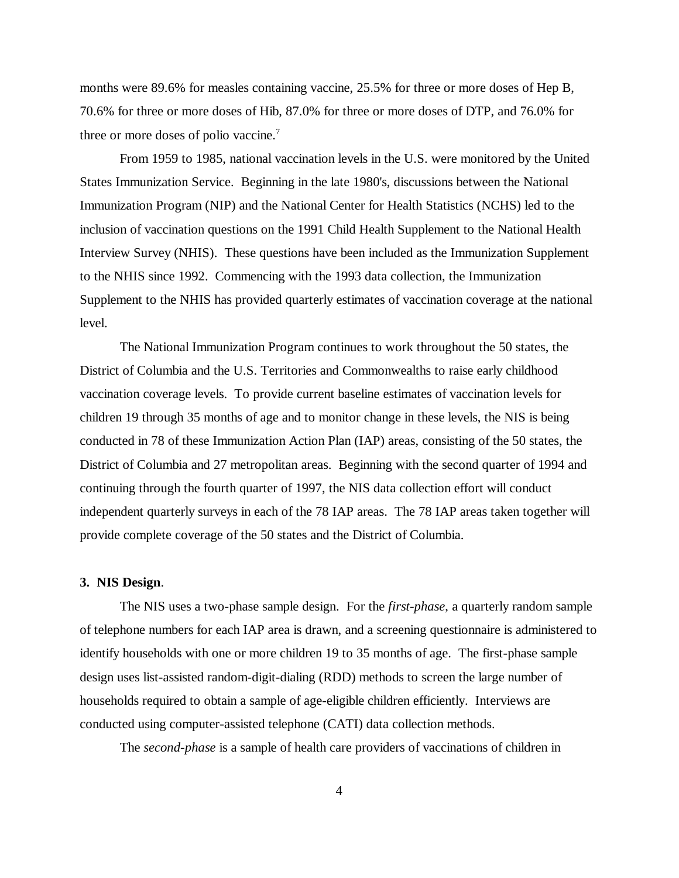months were 89.6% for measles containing vaccine, 25.5% for three or more doses of Hep B, 70.6% for three or more doses of Hib, 87.0% for three or more doses of DTP, and 76.0% for three or more doses of polio vaccine.<sup>7</sup>

From 1959 to 1985, national vaccination levels in the U.S. were monitored by the United States Immunization Service. Beginning in the late 1980's, discussions between the National Immunization Program (NIP) and the National Center for Health Statistics (NCHS) led to the inclusion of vaccination questions on the 1991 Child Health Supplement to the National Health Interview Survey (NHIS). These questions have been included as the Immunization Supplement to the NHIS since 1992. Commencing with the 1993 data collection, the Immunization Supplement to the NHIS has provided quarterly estimates of vaccination coverage at the national level.

The National Immunization Program continues to work throughout the 50 states, the District of Columbia and the U.S. Territories and Commonwealths to raise early childhood vaccination coverage levels. To provide current baseline estimates of vaccination levels for children 19 through 35 months of age and to monitor change in these levels, the NIS is being conducted in 78 of these Immunization Action Plan (IAP) areas, consisting of the 50 states, the District of Columbia and 27 metropolitan areas. Beginning with the second quarter of 1994 and continuing through the fourth quarter of 1997, the NIS data collection effort will conduct independent quarterly surveys in each of the 78 IAP areas. The 78 IAP areas taken together will provide complete coverage of the 50 states and the District of Columbia.

#### **3. NIS Design**.

The NIS uses a two-phase sample design. For the *first-phase*, a quarterly random sample of telephone numbers for each IAP area is drawn, and a screening questionnaire is administered to identify households with one or more children 19 to 35 months of age. The first-phase sample design uses list-assisted random-digit-dialing (RDD) methods to screen the large number of households required to obtain a sample of age-eligible children efficiently. Interviews are conducted using computer-assisted telephone (CATI) data collection methods.

The *second-phase* is a sample of health care providers of vaccinations of children in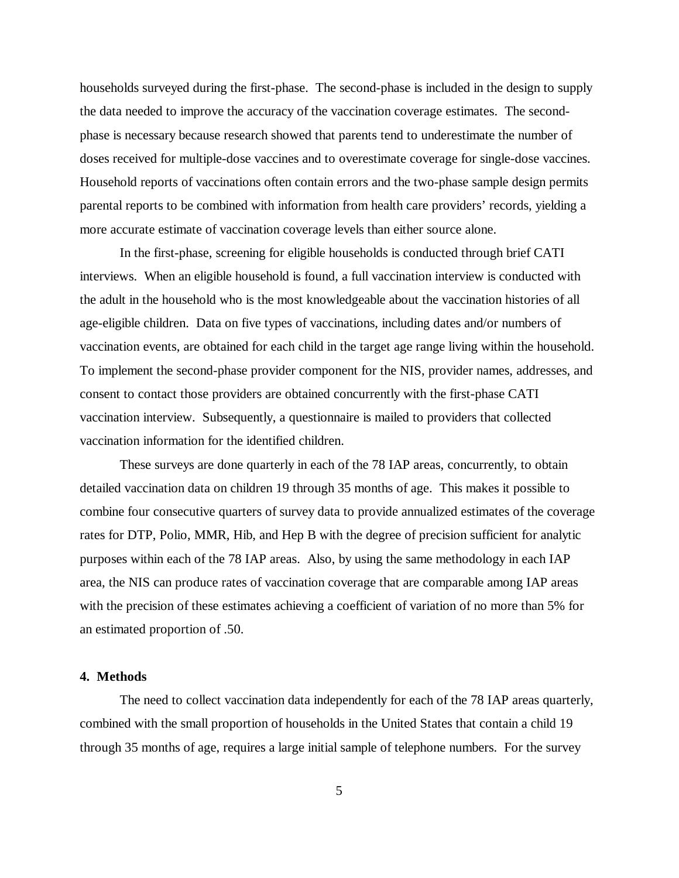households surveyed during the first-phase. The second-phase is included in the design to supply the data needed to improve the accuracy of the vaccination coverage estimates. The secondphase is necessary because research showed that parents tend to underestimate the number of doses received for multiple-dose vaccines and to overestimate coverage for single-dose vaccines. Household reports of vaccinations often contain errors and the two-phase sample design permits parental reports to be combined with information from health care providers' records, yielding a more accurate estimate of vaccination coverage levels than either source alone.

In the first-phase, screening for eligible households is conducted through brief CATI interviews. When an eligible household is found, a full vaccination interview is conducted with the adult in the household who is the most knowledgeable about the vaccination histories of all age-eligible children. Data on five types of vaccinations, including dates and/or numbers of vaccination events, are obtained for each child in the target age range living within the household. To implement the second-phase provider component for the NIS, provider names, addresses, and consent to contact those providers are obtained concurrently with the first-phase CATI vaccination interview. Subsequently, a questionnaire is mailed to providers that collected vaccination information for the identified children.

These surveys are done quarterly in each of the 78 IAP areas, concurrently, to obtain detailed vaccination data on children 19 through 35 months of age. This makes it possible to combine four consecutive quarters of survey data to provide annualized estimates of the coverage rates for DTP, Polio, MMR, Hib, and Hep B with the degree of precision sufficient for analytic purposes within each of the 78 IAP areas. Also, by using the same methodology in each IAP area, the NIS can produce rates of vaccination coverage that are comparable among IAP areas with the precision of these estimates achieving a coefficient of variation of no more than 5% for an estimated proportion of .50.

## **4. Methods**

The need to collect vaccination data independently for each of the 78 IAP areas quarterly, combined with the small proportion of households in the United States that contain a child 19 through 35 months of age, requires a large initial sample of telephone numbers. For the survey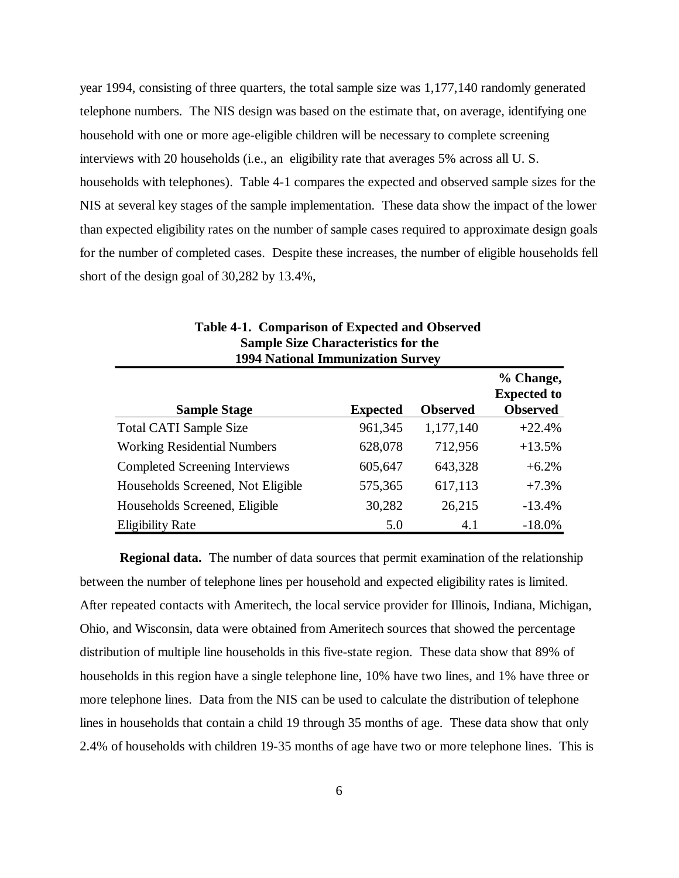year 1994, consisting of three quarters, the total sample size was 1,177,140 randomly generated telephone numbers. The NIS design was based on the estimate that, on average, identifying one household with one or more age-eligible children will be necessary to complete screening interviews with 20 households (i.e., an eligibility rate that averages 5% across all U. S. households with telephones). Table 4-1 compares the expected and observed sample sizes for the NIS at several key stages of the sample implementation. These data show the impact of the lower than expected eligibility rates on the number of sample cases required to approximate design goals for the number of completed cases. Despite these increases, the number of eligible households fell short of the design goal of 30,282 by 13.4%,

| <b>1994 National Immunization Survey</b> |                 |                 |                                                    |  |  |  |  |
|------------------------------------------|-----------------|-----------------|----------------------------------------------------|--|--|--|--|
| <b>Sample Stage</b>                      | <b>Expected</b> | <b>Observed</b> | % Change,<br><b>Expected to</b><br><b>Observed</b> |  |  |  |  |
| <b>Total CATI Sample Size</b>            | 961,345         | 1,177,140       | $+22.4%$                                           |  |  |  |  |
| <b>Working Residential Numbers</b>       | 628,078         | 712,956         | $+13.5%$                                           |  |  |  |  |
| <b>Completed Screening Interviews</b>    | 605,647         | 643,328         | $+6.2%$                                            |  |  |  |  |
| Households Screened, Not Eligible        | 575,365         | 617,113         | $+7.3%$                                            |  |  |  |  |
| Households Screened, Eligible            | 30,282          | 26,215          | $-13.4%$                                           |  |  |  |  |
| <b>Eligibility Rate</b>                  | 5.0             | 4.1             | $-18.0%$                                           |  |  |  |  |

| Table 4-1. Comparison of Expected and Observed |
|------------------------------------------------|
| <b>Sample Size Characteristics for the</b>     |
| 1994 National Immunization Survey              |

**Regional data.** The number of data sources that permit examination of the relationship between the number of telephone lines per household and expected eligibility rates is limited. After repeated contacts with Ameritech, the local service provider for Illinois, Indiana, Michigan, Ohio, and Wisconsin, data were obtained from Ameritech sources that showed the percentage distribution of multiple line households in this five-state region. These data show that 89% of households in this region have a single telephone line, 10% have two lines, and 1% have three or more telephone lines. Data from the NIS can be used to calculate the distribution of telephone lines in households that contain a child 19 through 35 months of age. These data show that only 2.4% of households with children 19-35 months of age have two or more telephone lines. This is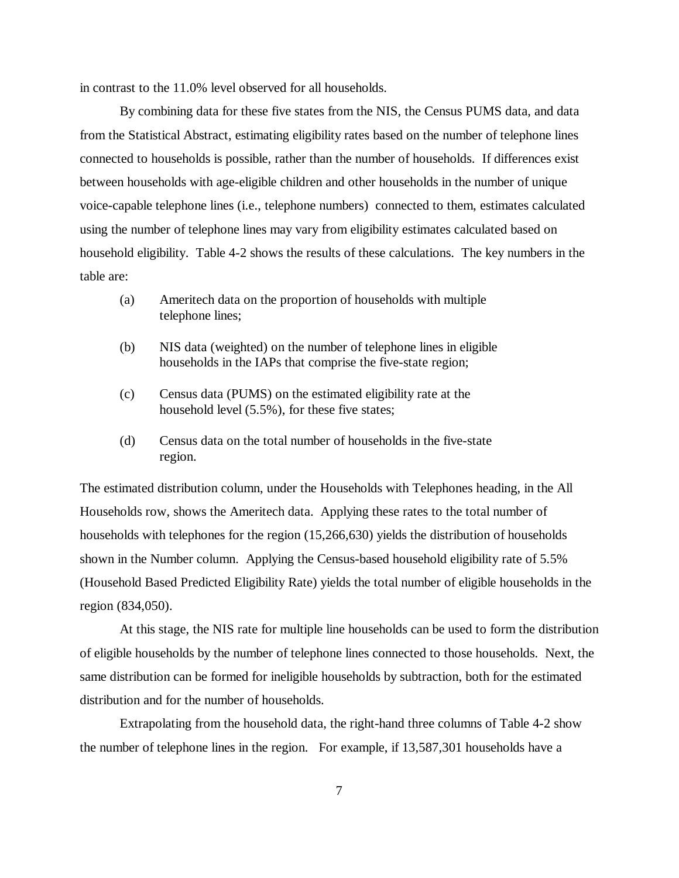in contrast to the 11.0% level observed for all households.

By combining data for these five states from the NIS, the Census PUMS data, and data from the Statistical Abstract, estimating eligibility rates based on the number of telephone lines connected to households is possible, rather than the number of households. If differences exist between households with age-eligible children and other households in the number of unique voice-capable telephone lines (i.e., telephone numbers) connected to them, estimates calculated using the number of telephone lines may vary from eligibility estimates calculated based on household eligibility. Table 4-2 shows the results of these calculations. The key numbers in the table are:

- (a) Ameritech data on the proportion of households with multiple telephone lines;
- (b) NIS data (weighted) on the number of telephone lines in eligible households in the IAPs that comprise the five-state region;
- (c) Census data (PUMS) on the estimated eligibility rate at the household level (5.5%), for these five states;
- (d) Census data on the total number of households in the five-state region.

The estimated distribution column, under the Households with Telephones heading, in the All Households row, shows the Ameritech data. Applying these rates to the total number of households with telephones for the region (15,266,630) yields the distribution of households shown in the Number column. Applying the Census-based household eligibility rate of 5.5% (Household Based Predicted Eligibility Rate) yields the total number of eligible households in the region (834,050).

At this stage, the NIS rate for multiple line households can be used to form the distribution of eligible households by the number of telephone lines connected to those households. Next, the same distribution can be formed for ineligible households by subtraction, both for the estimated distribution and for the number of households.

Extrapolating from the household data, the right-hand three columns of Table 4-2 show the number of telephone lines in the region. For example, if 13,587,301 households have a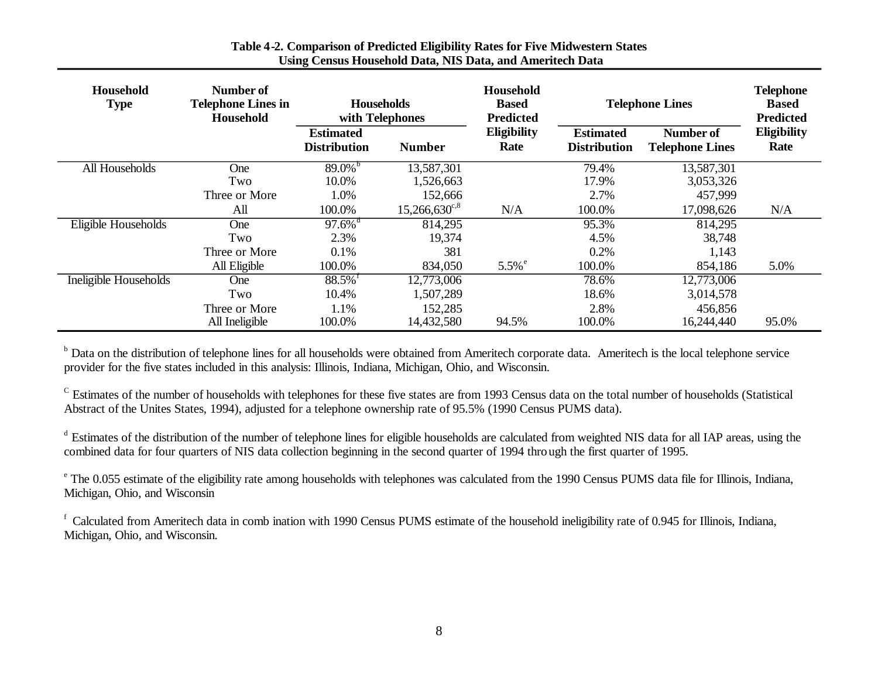| Household<br><b>Type</b> | Number of<br><b>Telephone Lines in</b><br>Household | <b>Households</b><br>with Telephones    |                        | Household<br><b>Based</b><br><b>Predicted</b> |                                         | <b>Telephone Lines</b>                     |                            |
|--------------------------|-----------------------------------------------------|-----------------------------------------|------------------------|-----------------------------------------------|-----------------------------------------|--------------------------------------------|----------------------------|
|                          |                                                     | <b>Estimated</b><br><b>Distribution</b> | <b>Number</b>          | <b>Eligibility</b><br>Rate                    | <b>Estimated</b><br><b>Distribution</b> | <b>Number of</b><br><b>Telephone Lines</b> | <b>Eligibility</b><br>Rate |
| All Households           | <b>One</b>                                          | $89.0\%$                                | 13,587,301             |                                               | 79.4%                                   | 13,587,301                                 |                            |
|                          | Two                                                 | 10.0%                                   | 1,526,663              |                                               | 17.9%                                   | 3,053,326                                  |                            |
|                          | Three or More                                       | 1.0%                                    | 152,666                |                                               | 2.7%                                    | 457,999                                    |                            |
|                          | All                                                 | 100.0%                                  | $15,266,630^{\circ.8}$ | N/A                                           | 100.0%                                  | 17,098,626                                 | N/A                        |
| Eligible Households      | One                                                 | $97.6\%$ <sup>d</sup>                   | 814,295                |                                               | 95.3%                                   | 814,295                                    |                            |
|                          | Two                                                 | 2.3%                                    | 19,374                 |                                               | 4.5%                                    | 38,748                                     |                            |
|                          | Three or More                                       | 0.1%                                    | 381                    |                                               | 0.2%                                    | 1,143                                      |                            |
|                          | All Eligible                                        | 100.0%                                  | 834,050                | $5.5\%$ <sup>e</sup>                          | 100.0%                                  | 854,186                                    | 5.0%                       |
| Ineligible Households    | <b>One</b>                                          | $88.5\%$ <sup>1</sup>                   | 12,773,006             |                                               | 78.6%                                   | 12,773,006                                 |                            |
|                          | Two                                                 | 10.4%                                   | 1,507,289              |                                               | 18.6%                                   | 3,014,578                                  |                            |
|                          | Three or More                                       | 1.1%                                    | 152,285                |                                               | 2.8%                                    | 456,856                                    |                            |
|                          | All Ineligible                                      | 100.0%                                  | 14,432,580             | 94.5%                                         | 100.0%                                  | 16,244,440                                 | 95.0%                      |

# **Table 4-2. Comparison of Predicted Eligibility Rates for Five Midwestern States Using Census Household Data, NIS Data, and Ameritech Data**

<sup>b</sup> Data on the distribution of telephone lines for all households were obtained from Ameritech corporate data. Ameritech is the local telephone service provider for the five states included in this analysis: Illinois, Indiana, Michigan, Ohio, and Wisconsin.

 $\rm c$  Estimates of the number of households with telephones for these five states are from 1993 Census data on the total number of households (Statistical Abstract of the Unites States, 1994), adjusted for a telephone ownership rate of 95.5% (1990 Census PUMS data).

<sup>d</sup> Estimates of the distribution of the number of telephone lines for eligible households are calculated from weighted NIS data for all IAP areas, using the combined data for four quarters of NIS data collection beginning in the second quarter of 1994 thro ugh the first quarter of 1995.

<sup>e</sup> The 0.055 estimate of the eligibility rate among households with telephones was calculated from the 1990 Census PUMS data file for Illinois, Indiana, Michigan, Ohio, and Wisconsin

<sup>f</sup> Calculated from Ameritech data in comb ination with 1990 Census PUMS estimate of the household ineligibility rate of 0.945 for Illinois, Indiana, Michigan, Ohio, and Wisconsin.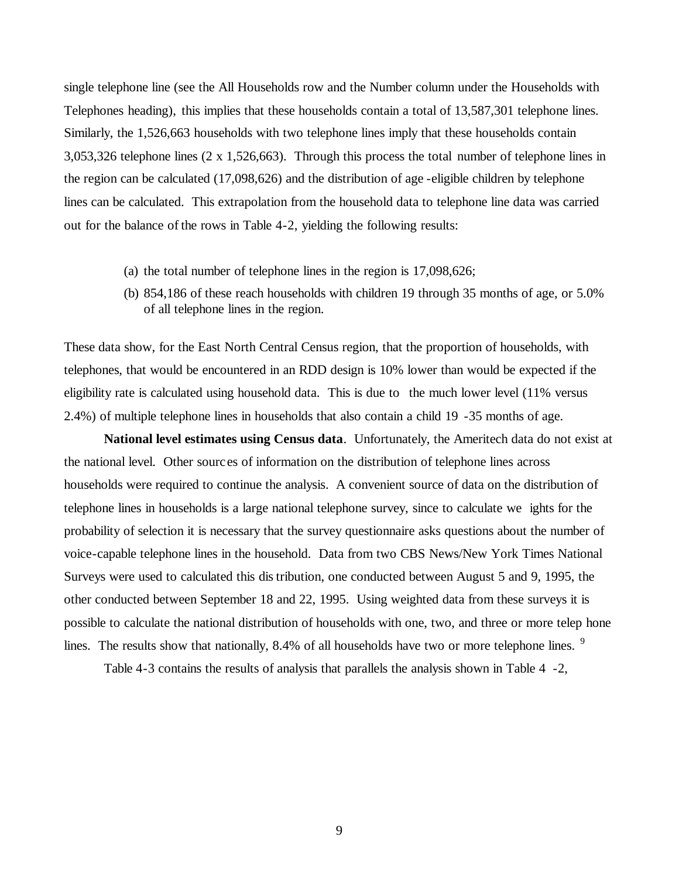single telephone line (see the All Households row and the Number column under the Households with Telephones heading), this implies that these households contain a total of 13,587,301 telephone lines. Similarly, the 1,526,663 households with two telephone lines imply that these households contain 3,053,326 telephone lines (2 x 1,526,663). Through this process the total number of telephone lines in the region can be calculated (17,098,626) and the distribution of age -eligible children by telephone lines can be calculated. This extrapolation from the household data to telephone line data was carried out for the balance of the rows in Table 4-2, yielding the following results:

- (a) the total number of telephone lines in the region is 17,098,626;
- (b) 854,186 of these reach households with children 19 through 35 months of age, or 5.0% of all telephone lines in the region.

These data show, for the East North Central Census region, that the proportion of households, with telephones, that would be encountered in an RDD design is 10% lower than would be expected if the eligibility rate is calculated using household data. This is due to the much lower level (11% versus 2.4%) of multiple telephone lines in households that also contain a child 19 -35 months of age.

**National level estimates using Census data**. Unfortunately, the Ameritech data do not exist at the national level. Other sourc es of information on the distribution of telephone lines across households were required to continue the analysis. A convenient source of data on the distribution of telephone lines in households is a large national telephone survey, since to calculate we ights for the probability of selection it is necessary that the survey questionnaire asks questions about the number of voice-capable telephone lines in the household. Data from two CBS News/New York Times National Surveys were used to calculated this dis tribution, one conducted between August 5 and 9, 1995, the other conducted between September 18 and 22, 1995. Using weighted data from these surveys it is possible to calculate the national distribution of households with one, two, and three or more telep hone lines. The results show that nationally, 8.4% of all households have two or more telephone lines. <sup>9</sup>

Table 4-3 contains the results of analysis that parallels the analysis shown in Table 4 -2,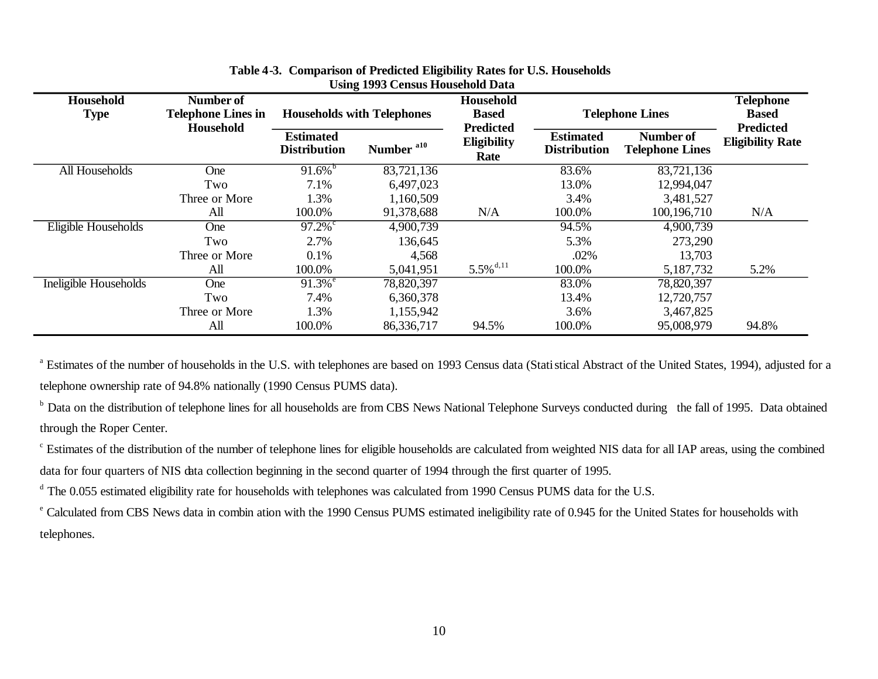| Household<br><b>Type</b> | Number of<br><b>Telephone Lines in</b><br>Household | <b>Households with Telephones</b>       |                       | Household<br><b>Based</b><br><b>Predicted</b> | <b>Telephone Lines</b>                  |                                     | <b>Telephone</b><br><b>Based</b><br><b>Predicted</b> |
|--------------------------|-----------------------------------------------------|-----------------------------------------|-----------------------|-----------------------------------------------|-----------------------------------------|-------------------------------------|------------------------------------------------------|
|                          |                                                     | <b>Estimated</b><br><b>Distribution</b> | Number <sup>a10</sup> | <b>Eligibility</b><br>Rate                    | <b>Estimated</b><br><b>Distribution</b> | Number of<br><b>Telephone Lines</b> | <b>Eligibility Rate</b>                              |
| All Households           | One                                                 | $91.6\%$                                | 83,721,136            |                                               | 83.6%                                   | 83,721,136                          |                                                      |
|                          | Two                                                 | 7.1%                                    | 6,497,023             |                                               | 13.0%                                   | 12,994,047                          |                                                      |
|                          | Three or More                                       | 1.3%                                    | 1,160,509             |                                               | 3.4%                                    | 3,481,527                           |                                                      |
|                          | All                                                 | 100.0%                                  | 91,378,688            | N/A                                           | 100.0%                                  | 100,196,710                         | N/A                                                  |
| Eligible Households      | One                                                 | $97.2\%$                                | 4,900,739             |                                               | 94.5%                                   | 4,900,739                           |                                                      |
|                          | Two                                                 | 2.7%                                    | 136,645               |                                               | 5.3%                                    | 273,290                             |                                                      |
|                          | Three or More                                       | 0.1%                                    | 4,568                 |                                               | .02%                                    | 13,703                              |                                                      |
|                          | All                                                 | 100.0%                                  | 5,041,951             | $5.5\%$ <sup>d,11</sup>                       | 100.0%                                  | 5,187,732                           | 5.2%                                                 |
| Ineligible Households    | One                                                 | $91.3\%$ <sup>e</sup>                   | 78,820,397            |                                               | 83.0%                                   | 78,820,397                          |                                                      |
|                          | Two                                                 | 7.4%                                    | 6,360,378             |                                               | 13.4%                                   | 12,720,757                          |                                                      |
|                          | Three or More                                       | 1.3%                                    | 1,155,942             |                                               | 3.6%                                    | 3,467,825                           |                                                      |
|                          | All                                                 | 100.0%                                  | 86,336,717            | 94.5%                                         | 100.0%                                  | 95,008,979                          | 94.8%                                                |

# **Table 4-3. Comparison of Predicted Eligibility Rates for U.S. Households Using 1993 Census Household Data**

<sup>a</sup> Estimates of the number of households in the U.S. with telephones are based on 1993 Census data (Stati stical Abstract of the United States, 1994), adjusted for a telephone ownership rate of 94.8% nationally (1990 Census PUMS data).

<sup>b</sup> Data on the distribution of telephone lines for all households are from CBS News National Telephone Surveys conducted during the fall of 1995. Data obtained through the Roper Center.

<sup>c</sup> Estimates of the distribution of the number of telephone lines for eligible households are calculated from weighted NIS data for all IAP areas, using the combined data for four quarters of NIS data collection beginning in the second quarter of 1994 through the first quarter of 1995.

<sup>d</sup> The 0.055 estimated eligibility rate for households with telephones was calculated from 1990 Census PUMS data for the U.S.

<sup>e</sup> Calculated from CBS News data in combin ation with the 1990 Census PUMS estimated ineligibility rate of 0.945 for the United States for households with telephones.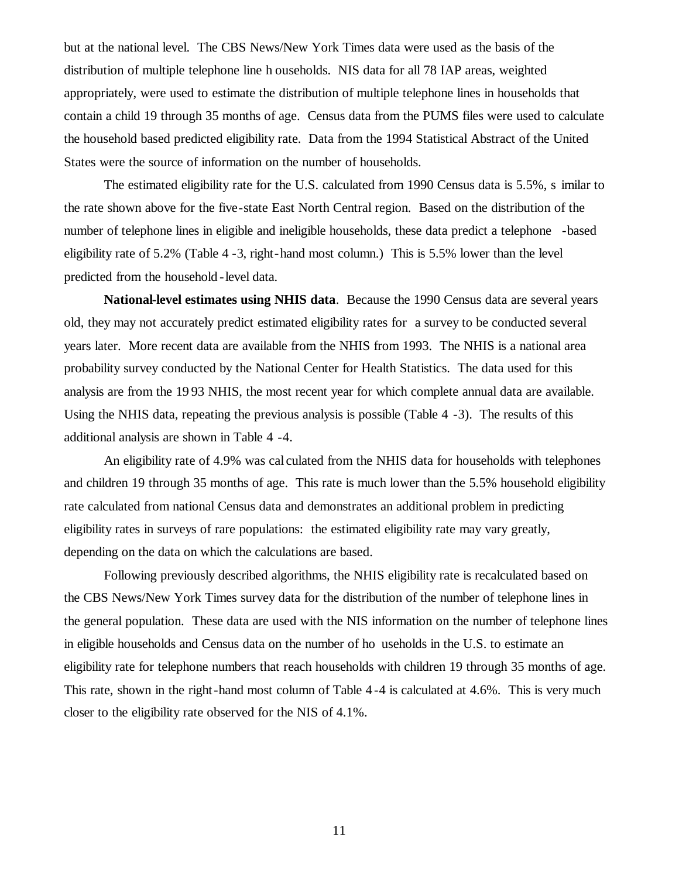but at the national level. The CBS News/New York Times data were used as the basis of the distribution of multiple telephone line h ouseholds. NIS data for all 78 IAP areas, weighted appropriately, were used to estimate the distribution of multiple telephone lines in households that contain a child 19 through 35 months of age. Census data from the PUMS files were used to calculate the household based predicted eligibility rate. Data from the 1994 Statistical Abstract of the United States were the source of information on the number of households.

The estimated eligibility rate for the U.S. calculated from 1990 Census data is 5.5%, s imilar to the rate shown above for the five -state East North Central region. Based on the distribution of the number of telephone lines in eligible and ineligible households, these data predict a telephone -based eligibility rate of 5.2% (Table 4 -3, right-hand most column.) This is 5.5% lower than the level predicted from the household -level data.

**National-level estimates using NHIS data**. Because the 1990 Census data are several years old, they may not accurately predict estimated eligibility rates for a survey to be conducted several years later. More recent data are available from the NHIS from 1993. The NHIS is a national area probability survey conducted by the National Center for Health Statistics. The data used for this analysis are from the 19 93 NHIS, the most recent year for which complete annual data are available. Using the NHIS data, repeating the previous analysis is possible (Table 4 -3). The results of this additional analysis are shown in Table 4 -4.

An eligibility rate of 4.9% was cal culated from the NHIS data for households with telephones and children 19 through 35 months of age. This rate is much lower than the 5.5% household eligibility rate calculated from national Census data and demonstrates an additional problem in predicting eligibility rates in surveys of rare populations: the estimated eligibility rate may vary greatly, depending on the data on which the calculations are based.

Following previously described algorithms, the NHIS eligibility rate is recalculated based on the CBS News/New York Times survey data for the distribution of the number of telephone lines in the general population. These data are used with the NIS information on the number of telephone lines in eligible households and Census data on the number of ho useholds in the U.S. to estimate an eligibility rate for telephone numbers that reach households with children 19 through 35 months of age. This rate, shown in the right -hand most column of Table 4 -4 is calculated at 4.6%. This is very much closer to the eligibility rate observed for the NIS of 4.1%.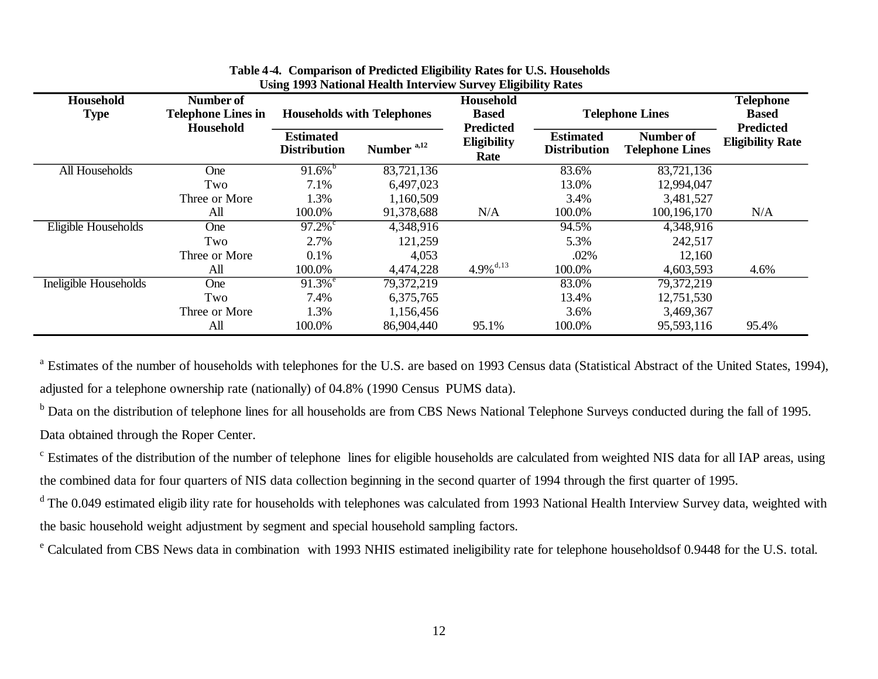| Household<br>Number of<br><b>Type</b><br><b>Telephone Lines in</b><br>Household |               | <b>Households with Telephones</b>       |                        | Household<br><b>Based</b><br><b>Predicted</b> | <b>Telephone Lines</b>                  |                                            | <b>Telephone</b><br><b>Based</b><br><b>Predicted</b> |
|---------------------------------------------------------------------------------|---------------|-----------------------------------------|------------------------|-----------------------------------------------|-----------------------------------------|--------------------------------------------|------------------------------------------------------|
|                                                                                 |               | <b>Estimated</b><br><b>Distribution</b> | Number <sup>a,12</sup> | <b>Eligibility</b><br>Rate                    | <b>Estimated</b><br><b>Distribution</b> | <b>Number of</b><br><b>Telephone Lines</b> | <b>Eligibility Rate</b>                              |
| All Households                                                                  | One           | $91.6\%$                                | 83,721,136             |                                               | 83.6%                                   | 83,721,136                                 |                                                      |
|                                                                                 | Two           | 7.1%                                    | 6,497,023              |                                               | 13.0%                                   | 12,994,047                                 |                                                      |
|                                                                                 | Three or More | 1.3%                                    | 1,160,509              |                                               | 3.4%                                    | 3,481,527                                  |                                                      |
|                                                                                 | All           | 100.0%                                  | 91,378,688             | N/A                                           | 100.0%                                  | 100, 196, 170                              | N/A                                                  |
| Eligible Households                                                             | <b>One</b>    | 97.2%                                   | 4,348,916              |                                               | 94.5%                                   | 4,348,916                                  |                                                      |
|                                                                                 | Two           | 2.7%                                    | 121,259                |                                               | 5.3%                                    | 242,517                                    |                                                      |
|                                                                                 | Three or More | 0.1%                                    | 4,053                  |                                               | .02%                                    | 12,160                                     |                                                      |
|                                                                                 | All           | 100.0%                                  | 4,474,228              | $4.9\%$ <sup>d,13</sup>                       | 100.0%                                  | 4,603,593                                  | 4.6%                                                 |
| Ineligible Households                                                           | One           | $91.3\sqrt{e}$                          | 79,372,219             |                                               | 83.0%                                   | 79,372,219                                 |                                                      |
|                                                                                 | Two           | 7.4%                                    | 6,375,765              |                                               | 13.4%                                   | 12,751,530                                 |                                                      |
|                                                                                 | Three or More | 1.3%                                    | 1,156,456              |                                               | 3.6%                                    | 3,469,367                                  |                                                      |
|                                                                                 | All           | 100.0%                                  | 86,904,440             | 95.1%                                         | 100.0%                                  | 95,593,116                                 | 95.4%                                                |

## **Table 4-4. Comparison of Predicted Eligibility Rates for U.S. Households Using 1993 National Health Interview Survey Eligibility Rates**

<sup>a</sup> Estimates of the number of households with telephones for the U.S. are based on 1993 Census data (Statistical Abstract of the United States, 1994), adjusted for a telephone ownership rate (nationally) of 04.8% (1990 Census PUMS data).

<sup>b</sup> Data on the distribution of telephone lines for all households are from CBS News National Telephone Surveys conducted during the fall of 1995. Data obtained through the Roper Center.

<sup>c</sup> Estimates of the distribution of the number of telephone lines for eligible households are calculated from weighted NIS data for all IAP areas, using the combined data for four quarters of NIS data collection beginning in the second quarter of 1994 through the first quarter of 1995.

<sup>d</sup> The 0.049 estimated eligib ility rate for households with telephones was calculated from 1993 National Health Interview Survey data, weighted with the basic household weight adjustment by segment and special household sampling factors.

<sup>e</sup> Calculated from CBS News data in combination with 1993 NHIS estimated ineligibility rate for telephone householdsof 0.9448 for the U.S. total.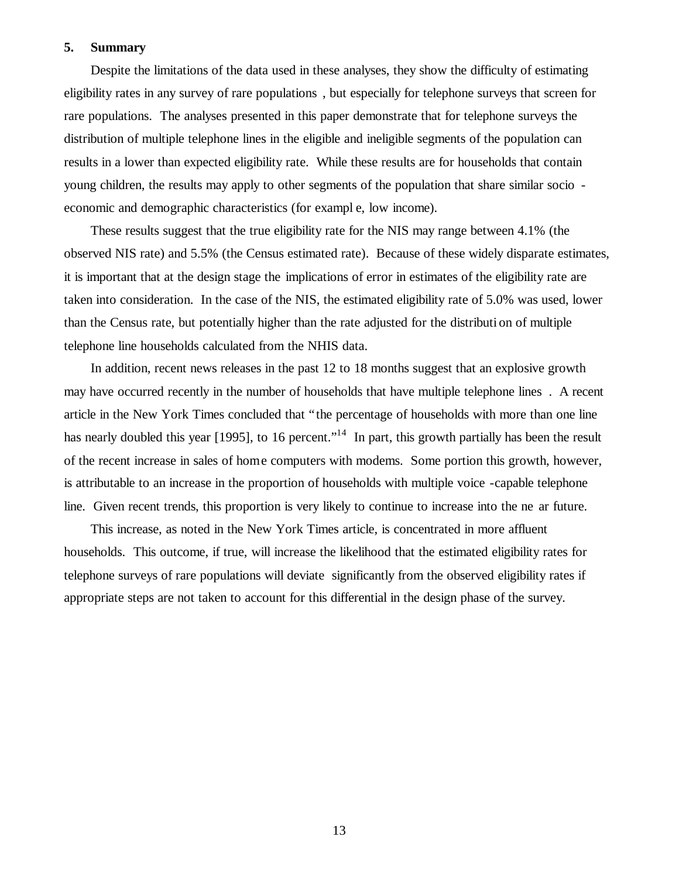## **5. Summary**

Despite the limitations of the data used in these analyses, they show the difficulty of estimating eligibility rates in any survey of rare populations , but especially for telephone surveys that screen for rare populations. The analyses presented in this paper demonstrate that for telephone surveys the distribution of multiple telephone lines in the eligible and ineligible segments of the population can results in a lower than expected eligibility rate. While these results are for households that contain young children, the results may apply to other segments of the population that share similar socio economic and demographic characteristics (for exampl e, low income).

These results suggest that the true eligibility rate for the NIS may range between 4.1% (the observed NIS rate) and 5.5% (the Census estimated rate). Because of these widely disparate estimates, it is important that at the design stage the implications of error in estimates of the eligibility rate are taken into consideration. In the case of the NIS, the estimated eligibility rate of 5.0% was used, lower than the Census rate, but potentially higher than the rate adjusted for the distributi on of multiple telephone line households calculated from the NHIS data.

In addition, recent news releases in the past 12 to 18 months suggest that an explosive growth may have occurred recently in the number of households that have multiple telephone lines . A recent article in the New York Times concluded that "the percentage of households with more than one line has nearly doubled this year [1995], to 16 percent."<sup>14</sup> In part, this growth partially has been the result of the recent increase in sales of hom e computers with modems. Some portion this growth, however, is attributable to an increase in the proportion of households with multiple voice -capable telephone line. Given recent trends, this proportion is very likely to continue to increase into the ne ar future.

This increase, as noted in the New York Times article, is concentrated in more affluent households. This outcome, if true, will increase the likelihood that the estimated eligibility rates for telephone surveys of rare populations will deviate significantly from the observed eligibility rates if appropriate steps are not taken to account for this differential in the design phase of the survey.